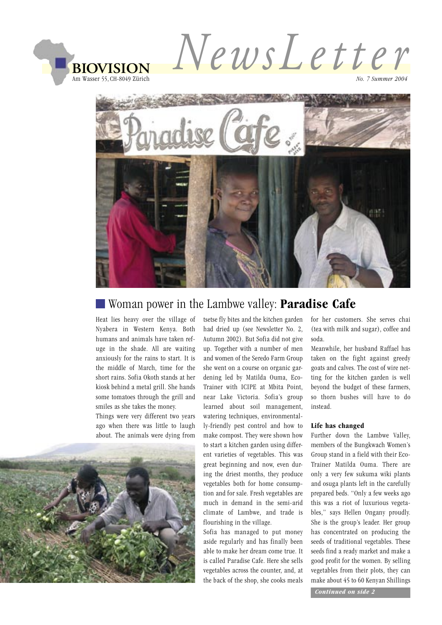



#### Woman power in the Lambwe valley: **Paradise Cafe**

Heat lies heavy over the village of Nyabera in Western Kenya. Both humans and animals have taken refuge in the shade. All are waiting anxiously for the rains to start. It is the middle of March, time for the short rains. Sofia Okoth stands at her kiosk behind a metal grill. She hands some tomatoes through the grill and smiles as she takes the money.

Things were very different two years ago when there was little to laugh about. The animals were dying from



tsetse fly bites and the kitchen garden had dried up (see Newsletter No. 2, Autumn 2002). But Sofia did not give up. Together with a number of men and women of the Seredo Farm Group she went on a course on organic gardening led by Matilda Ouma, Eco-Trainer with ICIPE at Mbita Point, near Lake Victoria. Sofia's group learned about soil management, watering techniques, environmentally-friendly pest control and how to make compost. They were shown how to start a kitchen garden using different varieties of vegetables. This was great beginning and now, even during the driest months, they produce vegetables both for home consumption and for sale. Fresh vegetables are much in demand in the semi-arid climate of Lambwe, and trade is flourishing in the village.

Sofia has managed to put money aside regularly and has finally been able to make her dream come true. It is called Paradise Cafe. Here she sells vegetables across the counter, and, at the back of the shop, she cooks meals

for her customers. She serves chai (tea with milk and sugar), coffee and soda.

Meanwhile, her husband Raffael has taken on the fight against greedy goats and calves. The cost of wire netting for the kitchen garden is well beyond the budget of these farmers, so thorn bushes will have to do instead.

#### **Life has changed**

Further down the Lambwe Valley, members of the Bungkwach Women's Group stand in a field with their Eco-Trainer Matilda Ouma. There are only a very few sukuma wiki plants and osuga plants left in the carefully prepared beds. "Only a few weeks ago this was a riot of luxurious vegetables," says Hellen Ongany proudly. She is the group's leader. Her group has concentrated on producing the seeds of traditional vegetables. These seeds find a ready market and make a good profit for the women. By selling vegetables from their plots, they can make about 45 to 60 Kenyan Shillings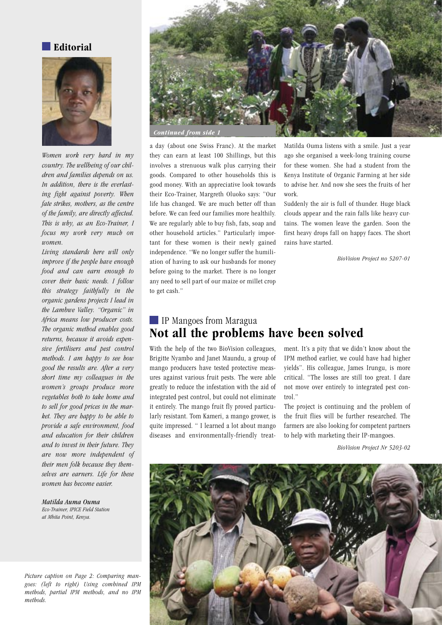**Editorial**



*Women work very hard in my country. The wellbeing of our children and families depends on us. In addition, there is the everlasting fight against poverty. When fate strikes, mothers, as the centre of the family, are directly affected. This is why, as an Eco-Trainer, I focus my work very much on women.* 

*Living standards here will only improve if the people have enough food and can earn enough to cover their basic needs. I follow this strategy faithfully in the organic gardens projects I lead in the Lambwe Valley. "Organic" in Africa means low producer costs. The organic method enables good returns, because it avoids expensive fertilisers and pest control methods. I am happy to see how good the results are. After a very short time my colleagues in the women's groups produce more vegetables both to take home and to sell for good prices in the market. They are happy to be able to provide a safe environment, food and education for their children and to invest in their future. They are now more independent of their men folk because they themselves are earners. Life for these women has become easier.*

*Matilda Auma Ouma Eco-Trainer, IPICE Field Station at Mbita Point, Kenya.*

*Picture caption on Page 2: Comparing mangoes: (left to right) Using combined IPM methods, partial IPM methods, and no IPM methods.* 



a day (about one Swiss Franc). At the market they can earn at least 100 Shillings, but this involves a strenuous walk plus carrying their goods. Compared to other households this is good money. With an appreciative look towards their Eco-Trainer, Margreth Oluoko says: "Our life has changed. We are much better off than before. We can feed our families more healthily. We are regularly able to buy fish, fats, soap and other household articles." Particularly important for these women is their newly gained independence. "We no longer suffer the humiliation of having to ask our husbands for money before going to the market. There is no longer any need to sell part of our maize or millet crop to get cash."

Matilda Ouma listens with a smile. Just a year ago she organised a week-long training course for these women. She had a student from the Kenya Institute of Organic Farming at her side to advise her. And now she sees the fruits of her work.

Suddenly the air is full of thunder. Huge black clouds appear and the rain falls like heavy curtains. The women leave the garden. Soon the first heavy drops fall on happy faces. The short rains have started.

*BioVision Project no 5207-01*

#### IP Mangoes from Maragua **Not all the problems have been solved**

With the help of the two BioVision colleagues, Brigitte Nyambo and Janet Maundu, a group of mango producers have tested protective measures against various fruit pests. The were able greatly to reduce the infestation with the aid of integrated pest control, but could not eliminate it entirely. The mango fruit fly proved particularly resistant. Tom Kameri, a mango grower, is quite impressed. " I learned a lot about mango diseases and environmentally-friendly treat-

ment. It's a pity that we didn't know about the IPM method earlier, we could have had higher yields". His colleague, James Irungu, is more critical. "The losses are still too great. I dare not move over entirely to integrated pest control."

The project is continuing and the problem of the fruit flies will be further researched. The farmers are also looking for competent partners to help with marketing their IP-mangoes.

*BioVision Project Nr 5203-02*

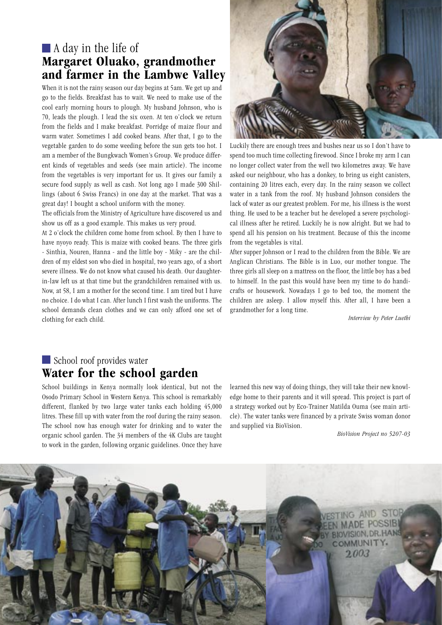## A day in the life of **Margaret Oluako, grandmother and farmer in the Lambwe Valley**

When it is not the rainy season our day begins at 5am. We get up and go to the fields. Breakfast has to wait. We need to make use of the cool early morning hours to plough. My husband Johnson, who is 70, leads the plough. I lead the six oxen. At ten o'clock we return from the fields and I make breakfast. Porridge of maize flour and warm water. Sometimes I add cooked beans. After that, I go to the vegetable garden to do some weeding before the sun gets too hot. I am a member of the Bungkwach Women's Group. We produce different kinds of vegetables and seeds (see main article). The income from the vegetables is very important for us. It gives our family a secure food supply as well as cash. Not long ago I made 300 Shillings (about 6 Swiss Francs) in one day at the market. That was a great day! I bought a school uniform with the money.

The officials from the Ministry of Agriculture have discovered us and show us off as a good example. This makes us very proud.

At 2 o'clock the children come home from school. By then I have to have nyoyo ready. This is maize with cooked beans. The three girls - Sinthia, Nouren, Hanna - and the little boy - Miky - are the children of my eldest son who died in hospital, two years ago, of a short severe illness. We do not know what caused his death. Our daughterin-law left us at that time but the grandchildren remained with us. Now, at 58, I am a mother for the second time. I am tired but I have no choice. I do what I can. After lunch I first wash the uniforms. The school demands clean clothes and we can only afford one set of clothing for each child.



Luckily there are enough trees and bushes near us so I don't have to spend too much time collecting firewood. Since I broke my arm I can no longer collect water from the well two kilometres away. We have asked our neighbour, who has a donkey, to bring us eight canisters, containing 20 litres each, every day. In the rainy season we collect water in a tank from the roof. My husband Johnson considers the lack of water as our greatest problem. For me, his illness is the worst thing. He used to be a teacher but he developed a severe psychological illness after he retired. Luckily he is now alright. But we had to spend all his pension on his treatment. Because of this the income from the vegetables is vital.

After supper Johnson or I read to the children from the Bible. We are Anglican Christians. The Bible is in Luo, our mother tongue. The three girls all sleep on a mattress on the floor, the little boy has a bed to himself. In the past this would have been my time to do handicrafts or housework. Nowadays I go to bed too, the moment the children are asleep. I allow myself this. After all, I have been a grandmother for a long time.

*Interview by Peter Luethi*

#### School roof provides water **Water for the school garden**

School buildings in Kenya normally look identical, but not the Osodo Primary School in Western Kenya. This school is remarkably different, flanked by two large water tanks each holding 45,000 litres. These fill up with water from the roof during the rainy season. The school now has enough water for drinking and to water the organic school garden. The 34 members of the 4K Clubs are taught to work in the garden, following organic guidelines. Once they have learned this new way of doing things, they will take their new knowledge home to their parents and it will spread. This project is part of a strategy worked out by Eco-Trainer Matilda Ouma (see main article). The water tanks were financed by a private Swiss woman donor and supplied via BioVision.

*BioVision Project no 5207-03*